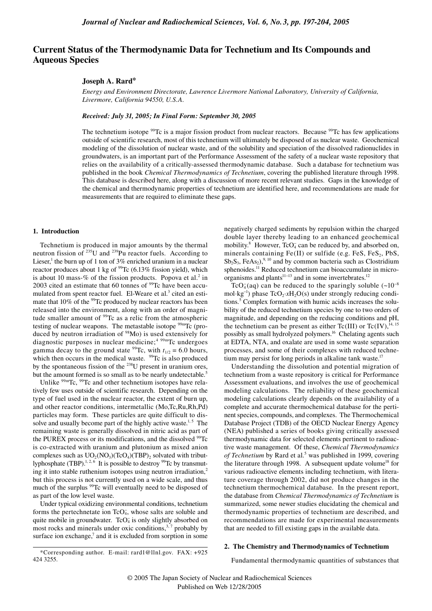# **Current Status of the Thermodynamic Data for Technetium and Its Compounds and Aqueous Species**

## **Joseph A. Rard\***

*Energy and Environment Directorate, Lawrence Livermore National Laboratory, University of California, Livermore, California 94550, U.S.A.* 

## *Received: July 31, 2005; In Final Form: September 30, 2005*

The technetium isotope <sup>99</sup>Tc is a major fission product from nuclear reactors. Because <sup>99</sup>Tc has few applications outside of scientific research, most of this technetium will ultimately be disposed of as nuclear waste. Geochemical modeling of the dissolution of nuclear waste, and of the solubility and speciation of the dissolved radionuclides in groundwaters, is an important part of the Performance Assessment of the safety of a nuclear waste repository that relies on the availability of a critically-assessed thermodynamic database. Such a database for technetium was published in the book *Chemical Thermodynamics of Technetium*, covering the published literature through 1998. This database is described here, along with a discussion of more recent relevant studies. Gaps in the knowledge of the chemical and thermodynamic properties of technetium are identified here, and recommendations are made for measurements that are required to eliminate these gaps.

#### **1. Introduction**

424 3255.

Technetium is produced in major amounts by the thermal neutron fission of  $^{235}$ U and  $^{239}$ Pu reactor fuels. According to Lieser,<sup>1</sup> the burn up of 1 ton of 3% enriched uranium in a nuclear reactor produces about 1 kg of  $99$ Tc (6.13% fission yield), which is about 10 mass-% of the fission products. Popova et al.<sup>2</sup> in 2003 cited an estimate that 60 tonnes of <sup>99</sup>Tc have been accumulated from spent reactor fuel. El-Weare et al.<sup>3</sup> cited an estimate that 10% of the <sup>99</sup>Tc produced by nuclear reactors has been released into the environment, along with an order of magnitude smaller amount of <sup>99</sup>Tc as a relic from the atmospheric testing of nuclear weapons. The metastable isotope <sup>99m</sup>Tc (produced by neutron irradiation of  $98$ Mo) is used extensively for diagnostic purposes in nuclear medicine;<sup>4 99m</sup>Tc undergoes gamma decay to the ground state <sup>99</sup>Tc, with  $t_{1/2} = 6.0$  hours, which then occurs in the medical waste.  $99$ Tc is also produced by the spontaneous fission of the <sup>238</sup>U present in uranium ores, but the amount formed is so small as to be nearly undetectable.<sup>5</sup>

Unlike <sup>99m</sup>Tc, <sup>99</sup>Tc and other technetium isotopes have relatively few uses outside of scientific research. Depending on the type of fuel used in the nuclear reactor, the extent of burn up, and other reactor conditions, intermetallic (Mo,Tc,Ru,Rh,Pd) particles may form. These particles are quite difficult to dissolve and usually become part of the highly active waste.<sup>1,5</sup> The remaining waste is generally dissolved in nitric acid as part of the PUREX process or its modifications, and the dissolved <sup>99</sup>Tc is co-extracted with uranium and plutonium as mixed anion complexes such as  $UO_2(NO_3)(TcO_4)(TBP)_2$  solvated with tributlyphosphate (TBP).<sup>1, 2, 6</sup> It is possible to destroy  $99$ Tc by transmuting it into stable ruthenium isotopes using neutron irradiation, $2$ but this process is not currently used on a wide scale, and thus much of the surplus <sup>99</sup>Tc will eventually need to be disposed of as part of the low level waste.

Under typical oxidizing environmental conditions, technetium forms the pertechnetate ion TcO<sub>4</sub>, whose salts are soluble and quite mobile in groundwater. TcO<sub>4</sub> is only slightly absorbed on most rocks and minerals under oxic conditions,  $3, 7$  probably by surface ion exchange, $7$  and it is excluded from sorption in some

\*Corresponding author. E-mail: rard1@llnl.gov. FAX: +925

negatively charged sediments by repulsion within the charged double layer thereby leading to an enhanced geochemical mobility.<sup>8</sup> However,  $TcO<sub>4</sub>$  can be reduced by, and absorbed on, minerals containing  $Fe(II)$  or sulfide (e.g. FeS,  $FeS<sub>2</sub>$ , PbS,  $Sb_2S_3$ , FeAs<sub>2</sub>),<sup>9, 10</sup> and by common bacteria such as Clostridium sphenoides.<sup>11</sup> Reduced technetium can bioaccumulate in microorganisms and plants<sup>11–13</sup> and in some invertebrates.<sup>12</sup>

TcO<sub>4</sub>(aq) can be reduced to the sparingly soluble  $(\sim 10^{-8}$ mol·kg<sup>-1</sup>) phase TcO<sub>2</sub>·*x*H<sub>2</sub>O(s) under strongly reducing conditions.<sup>5</sup> Complex formation with humic acids increases the solubility of the reduced technetium species by one to two orders of magnitude, and depending on the reducing conditions and pH, the technetium can be present as either  $Tc(III)$  or  $Tc(IV)$ ,<sup>14</sup>, possibly as small hydrolyzed polymers.<sup>16</sup> Chelating agents such at EDTA, NTA, and oxalate are used in some waste separation processes, and some of their complexes with reduced technetium may persist for long periods in alkaline tank waste.<sup>17</sup>

Understanding the dissolution and potential migration of technetium from a waste repository is critical for Performance Assessment evaluations, and involves the use of geochemical modeling calculations. The reliability of these geochemical modeling calculations clearly depends on the availability of a complete and accurate thermochemical database for the pertinent species, compounds, and complexes. The Thermochemical Database Project (TDB) of the OECD Nuclear Energy Agency (NEA) published a series of books giving critically assessed thermodynamic data for selected elements pertinent to radioactive waste management. Of these, *Chemical Thermodynamics*  of Technetium by Rard et al.<sup>5</sup> was published in 1999, covering the literature through 1998. A subsequent update volume<sup>18</sup> for various radioactive elements including technetium, with literature coverage through 2002, did not produce changes in the technetium thermochemical database. In the present report, the database from *Chemical Thermodynamics of Technetium* is summarized, some newer studies elucidating the chemical and thermodynamic properties of technetium are described, and recommendations are made for experimental measurements that are needed to fill existing gaps in the available data.

## **2. The Chemistry and Thermodynamics of Technetium**

Fundamental thermodynamic quantities of substances that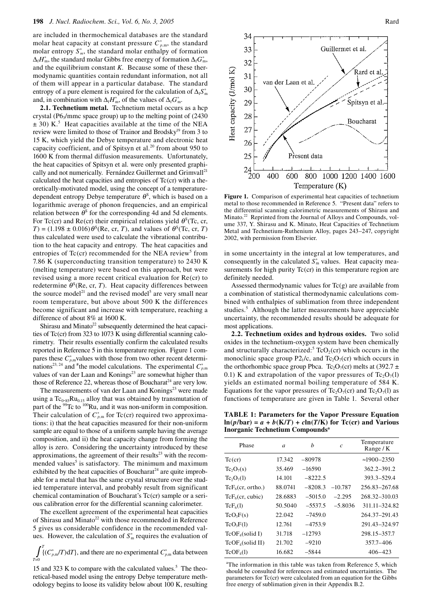are included in thermochemical databases are the standard molar heat capacity at constant pressure  $C_{p,m}^{\circ}$ , the standard molar entropy  $S<sub>m</sub>^{\circ}$ , the standard molar enthalpy of formation  $\Delta_f H_{\text{m}}^{\circ}$ , the standard molar Gibbs free energy of formation  $\Delta_f G_{\text{m}}^{\circ}$ , and the equilibrium constant *K*. Because some of these thermodynamic quantities contain redundant information, not all of them will appear in a particular database. The standard entropy of a pure element is required for the calculation of  $\Delta_f S^{\circ}_{m}$ and, in combination with  $\Delta_f H_{\text{m}}^{\circ}$ , of the values of  $\Delta_f G_{\text{m}}^{\circ}$ .

**2.1. Technetium metal.** Technetium metal occurs as a hcp crystal ( $P6_3/mmc$  space group) up to the melting point of (2430)  $\pm$  30) K.<sup>5</sup> Heat capacities available at the time of the NEA review were limited to those of Trainor and Brodsky<sup>19</sup> from 3 to 15 K, which yield the Debye temperature and electronic heat capacity coefficient, and of Spitsyn et al. $^{20}$  from about 950 to 1600 K from thermal diffusion measurements. Unfortunately, the heat capacities of Spitsyn et al. were only presented graphically and not numerically. Fernández Guillermet and Grimvall<sup>21</sup> calculated the heat capacities and entropies of  $Tc$ (cr) with a theoretically-motivated model, using the concept of a temperaturedependent entropy Debye temperature  $\theta^s$ , which is based on a logarithmic average of phonon frequencies, and an empirical relation between  $\theta^s$  for the corresponding 4d and 5d elements. For Tc(cr) and Re(cr) their empirical relations yield  $\theta^s$ (Tc, cr,  $T$ ) = (1.198  $\pm$  0.016) $\theta^s$ (Re, cr, *T*), and values of  $\theta^s$ (Tc, cr, *T*) thus calculated were used to calculate the vibrational contribution to the heat capacity and entropy. The heat capacities and entropies of  $Tc$ (cr) recommended for the NEA review<sup>5</sup> from 7.86 K (superconducting transition temperature) to 2430 K (melting temperature) were based on this approach, but were revised using a more recent critical evaluation for Re(cr) to redetermine  $\theta^{\rm S}$ (Re, cr, *T*). Heat capacity differences between the source model<sup>21</sup> and the revised model<sup>5</sup> are very small near room temperature, but above about 500 K the differences become significant and increase with temperature, reaching a difference of about 8% at 1600 K.

Shirasu and Minato<sup>22</sup> subsequently determined the heat capacities of Tc(cr) from 323 to 1073 K using differential scanning calorimetry. Their results essentially confirm the calculated results reported in Reference 5 in this temperature region. Figure 1 compares these  $C_{p,m}^{\circ}$  values with those from two other recent determinations<sup>23, 24</sup> and <sup>#</sup>the model calculations. The experimental  $C_{p,m}^{\circ}$ values of van der Laan and Konings<sup>23</sup> are somewhat higher than those of Reference 22, whereas those of Boucharat<sup>24</sup> are very low.

The measurements of van der Laan and Konings<sup>23</sup> were made using a  $Tc_{0.85}Ru_{0.15}$  alloy that was obtained by transmutation of part of the <sup>99</sup>Tc to <sup>100</sup>Ru, and it was non-uniform in composition. Their calculation of  $C_{p,m}^{\circ}$  for Tc(cr) required two approximations: i) that the heat capacities measured for their non-uniform sample are equal to those of a uniform sample having the average composition, and ii) the heat capacity change from forming the alloy is zero. Considering the uncertainty introduced by these approximations, the agreement of their results $23$  with the recommended values<sup>5</sup> is satisfactory. The minimum and maximum exhibited by the heat capacities of Boucharat<sup>24</sup> are quite improbable for a metal that has the same crystal structure over the studied temperature interval, and probably result from significant chemical contamination of Boucharat's Tc(cr) sample or a serious calibration error for the differential scanning calorimeter.

The excellent agreement of the experimental heat capacities of Shirasu and Minato<sup>22</sup> with those recommended in Reference 5 gives us considerable confidence in the recommended values. However, the calculation of  $S<sub>m</sub><sup>o</sup>$  requires the evaluation of

 $\int_0^T \{ (C_{p,m}^{\circ}/T) dT \}$ , and there are no experimental  $C_{p,m}^{\circ}$  data between *T*=0

15 and 323 K to compare with the calculated values.<sup>5</sup> The theoretical-based model using the entropy Debye temperature methodology begins to loose its validity below about 100 K, resulting



**Figure 1.** Comparison of experimental heat capacities of technetium metal to those recommended in Reference 5. "Present data" refers to the differential scanning calorimetric measurements of Shirasu and Minato.22 Reprinted from the Journal of Alloys and Compounds, volume 337, Y. Shirasu and K. Minato, Heat Capacities of Technetium Metal and Technetium-Ruthenium Alloy, pages 243–247, copyright 2002, with permission from Elsevier.

in some uncertainty in the integral at low temperatures, and consequently in the calculated  $S<sub>m</sub>$  values. Heat capacity measurements for high purity  $Tc$ (cr) in this temperature region are definitely needed.

Assessed thermodynamic values for  $Tc(g)$  are available from a combination of statistical thermodynamic calculations combined with enthalpies of sublimation from three independent studies.<sup>5</sup> Although the latter measurements have appreciable uncertainty, the recommended results should be adequate for most applications.

**2.2. Technetium oxides and hydrous oxides.** Two solid oxides in the technetium-oxygen system have been chemically and structurally characterized:<sup>5</sup> TcO<sub>2</sub>(cr) which occurs in the monoclinic space group  $P2_1/c$ , and  $Tc_2O_7(cr)$  which occurs in the orthorhombic space group Pbca. Tc<sub>2</sub>O<sub>7</sub>(cr) melts at (392.7  $\pm$ 0.1) K and extrapolation of the vapor pressures of  $Tc_2O_7(1)$ yields an estimated normal boiling temperature of 584 K. Equations for the vapor pressures of Tc<sub>2</sub>O<sub>7</sub>(cr) and Tc<sub>2</sub>O<sub>7</sub>(l) as functions of temperature are given in Table 1. Several other

**TABLE 1: Parameters for the Vapor Pressure Equation**   $\ln(p/\text{bar}) = a + b(K/T) + c\ln(T/K)$  for Tc(cr) and Various **Inorganic Technetium Compoundsa**

| Phase                        | a       | h         | $\mathcal{C}$ | Temperature<br>Range $/K$ |
|------------------------------|---------|-----------|---------------|---------------------------|
| $Tc$ (cr)                    | 17.342  | $-80978$  |               | $\approx$ 1900–2350       |
| $Tc_2O_7(s)$                 | 35.469  | $-16590$  |               | 362.2-391.2               |
| $Tc_2O_7(1)$                 | 14.101  | $-8222.5$ |               | 393.3-529.4               |
| $TcF_6$ (cr. ortho.)         | 88.0741 | $-8208.3$ | $-10.787$     | 256.83-267.68             |
| $\text{TeF}_6$ (cr, cubic)   | 28.6883 | $-5015.0$ | $-2.295$      | 268.32-310.03             |
| $TcF_6(1)$                   | 50.5040 | $-5537.5$ | $-5.8036$     | 311.11-324.82             |
| TcO <sub>3</sub> F(s)        | 22.042  | $-7459.0$ |               | 264.37-291.43             |
| TcO <sub>3</sub> F(1)        | 12.761  | $-4753.9$ |               | 291.43-324.97             |
| $TCP_4(solid I)$             | 31.718  | $-12793$  |               | 298.15-357.7              |
| TcOF <sub>4</sub> (solid II) | 21.702  | $-9210$   |               | 357.7-406                 |
| TcOF <sub>4</sub> (1)        | 16.682  | -5844     |               | 406–423                   |

<sup>a</sup>The information in this table was taken from Reference 5, which should be consulted for references and estimated uncertainties. The parameters for Tc(cr) were calculated from an equation for the Gibbs free energy of sublimation given in their Appendix B.2.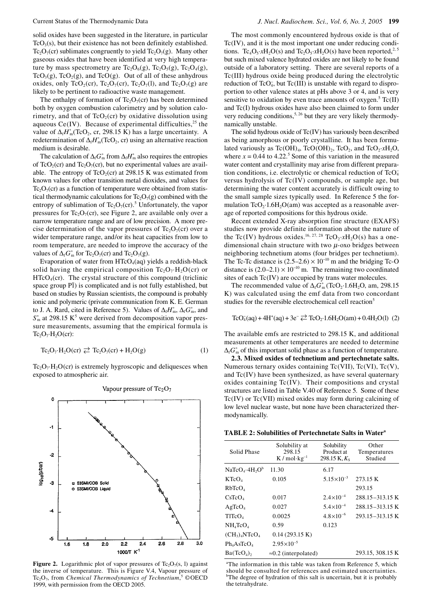solid oxides have been suggested in the literature, in particular  $TcO<sub>3</sub>(s)$ , but their existence has not been definitely established. Tc<sub>2</sub>O<sub>7</sub>(cr) sublimates congruently to yield Tc<sub>2</sub>O<sub>7</sub>(g). Many other gaseous oxides that have been identified at very high temperature by mass spectrometry are  $Tc_2O_6(g)$ ,  $Tc_2O_5(g)$ ,  $Tc_2O_4(g)$ , TcO<sub>3</sub>(g), TcO<sub>2</sub>(g), and TcO(g). Out of all of these anhydrous oxides, only TcO<sub>2</sub>(cr), Tc<sub>2</sub>O<sub>7</sub>(cr), Tc<sub>2</sub>O<sub>7</sub>(l), and Tc<sub>2</sub>O<sub>7</sub>(g) are likely to be pertinent to radioactive waste management.

The enthalpy of formation of  $Tc_2O_7(cr)$  has been determined both by oxygen combustion calorimetry and by solution calorimetry, and that of  $TcO<sub>2</sub>(cr)$  by oxidative dissolution using aqueous Ce(IV). Because of experimental difficulties,  $2<sup>5</sup>$  the value of  $\Delta_f H_{\text{m}}^{\circ}(\text{TeO}_2, \text{cr}, 298.15 \text{ K})$  has a large uncertainty. A redetermination of  $\Delta_f H^{\circ}_{m}(TeO_2, cr)$  using an alternative reaction medium is desirable.

The calculation of  $\Delta_f G_{\text{m}}^{\circ}$  from  $\Delta_f H_{\text{m}}^{\circ}$  also requires the entropies of TcO<sub>2</sub>(cr) and Tc<sub>2</sub>O<sub>7</sub>(cr), but no experimental values are available. The entropy of  $TcO_2$ (cr) at 298.15 K was estimated from known values for other transition metal dioxides, and values for  $Tc_2O_7$ (cr) as a function of temperature were obtained from statistical thermodynamic calculations for  $Tc_2O_7(g)$  combined with the entropy of sublimation of  $Tc_2O_7$ (cr).<sup>5</sup> Unfortunately, the vapor pressures for Tc<sub>2</sub>O<sub>7</sub>(cr), see Figure 2, are available only over a narrow temperature range and are of low precision. A more precise determination of the vapor pressures of  $Tc_2O_7(cr)$  over a wider temperature range, and/or its heat capacities from low to room temperature, are needed to improve the accuracy of the values of  $\Delta_f G_m^{\circ}$  for Tc<sub>2</sub>O<sub>7</sub>(cr) and Tc<sub>2</sub>O<sub>7</sub>(g).

Evaporation of water from  $HTcO<sub>4</sub>(aq)$  yields a reddish-black solid having the empirical composition  $Tc_2O_7 \cdot H_2O$  (cr) or  $HTcO<sub>4</sub>(cr)$ . The crystal structure of this compound (triclinic space group P<sup>I</sup>) is complicated and is not fully established, but based on studies by Russian scientists, the compound is probably ionic and polymeric (private communication from K. E. German to J. A. Rard, cited in Reference 5). Values of  $\Delta_f H_m^{\circ}$ ,  $\Delta_f G_m^{\circ}$ , and  $S_{\text{m}}^{\circ}$  at 298.15 K<sup>5</sup> were derived from decomposition vapor pressure measurements, assuming that the empirical formula is  $Tc_2O_7·H_2O(cr)$ :

$$
\text{Te}_2\text{O}_7\cdot\text{H}_2\text{O}(\text{cr}) \rightleftarrows \text{Te}_2\text{O}_7(\text{cr}) + \text{H}_2\text{O}(g) \tag{1}
$$

 $Tc_2O_7 \cdot H_2O$  (cr) is extremely hygroscopic and deliquesces when exposed to atmospheric air.



**Figure 2.** Logarithmic plot of vapor pressures of  $Tc_2O_7(s, l)$  against the inverse of temperature. This is Figure V.4, Vapour pressure of Tc<sub>2</sub>O<sub>7</sub>, from *Chemical Thermodynamics of Technetium*,<sup>5</sup> ©OECD 1999, with permission from the OECD 2005.

The most commonly encountered hydrous oxide is that of Tc(IV), and it is the most important one under reducing conditions. Tc<sub>4</sub>O<sub>5</sub>·*x*H<sub>2</sub>O(s) and Tc<sub>2</sub>O<sub>5</sub>·*x*H<sub>2</sub>O(s) have been reported,<sup>2, 5</sup> but such mixed valence hydrated oxides are not likely to be found outside of a laboratory setting. There are several reports of a Tc(III) hydrous oxide being produced during the electrolytic reduction of TcO<sub>4</sub>, but Tc(III) is unstable with regard to disproportion to other valence states at pHs above 3 or 4, and is very sensitive to oxidation by even trace amounts of oxygen.<sup>5</sup> Tc(II) and Tc(I) hydrous oxides have also been claimed to form under very reducing conditions,  $5, 26$  but they are very likely thermodynamically unstable.

The solid hydrous oxide of Tc(IV) has variously been described as being amorphous or poorly crystalline. It has been formulated variously as  $Tc(OH)_4$ ,  $TcO(OH)_2$ ,  $TcO_2$ , and  $TcO_2 \cdot xH_2O$ , where  $x = 0.44$  to 4.22.<sup>5</sup> Some of this variation in the measured water content and crystallinity may arise from different preparation conditions, i.e. electrolytic or chemical reduction of TcO<sub>4</sub> versus hydrolysis of Tc(IV) compounds, or sample age, but determining the water content accurately is difficult owing to the small sample sizes typically used. In Reference 5 the formulation  $TcO<sub>2</sub>·1.6H<sub>2</sub>O(am)$  was accepted as a reasonable average of reported compositions for this hydrous oxide.

Recent extended X-ray absorption fine structure (EXAFS) studies now provide definite information about the nature of the Tc(IV) hydrous oxides.<sup>16, 27, 28</sup> TcO<sub>2</sub>·*x*H<sub>2</sub>O(s) has a onedimensional chain structure with two  $\mu$ -oxo bridges between neighboring technetium atoms (four bridges per technetium). The Tc-Tc distance is  $(2.5–2.6) \times 10^{-10}$  m and the bridging Tc-O distance is  $(2.0-2.1) \times 10^{-10}$  m. The remaining two coordinated sites of each Tc(IV) are occupied by trans water molecules.

The recommended value of  $\Delta_f G_{\text{m}}^{\circ}(\text{TeO}_2 \cdot 1.6H_2O, \text{ am}, 298.15$ K) was calculated using the emf data from two concordant studies for the reversible electrochemical cell reaction<sup>5</sup>

$$
TcO_4^-(aq) + 4H^+(aq) + 3e^- \rightleftarrows TcO_2 \cdot 1.6H_2O(am) + 0.4H_2O(l)
$$
 (2)

The available emfs are restricted to 298.15 K, and additional measurements at other temperatures are needed to determine  $\Delta_f$ *G*<sup>°</sup> not this important solid phase as a function of temperature.

**2.3. Mixed oxides of technetium and pertechnetate salts.**  Numerous ternary oxides containing Tc(VII), Tc(VI), Tc(V), and Tc(IV) have been synthesized, as have several quaternary oxides containing Tc(IV). Their compositions and crystal structures are listed in Table V.40 of Reference 5. Some of these Tc(IV) or Tc(VII) mixed oxides may form during calcining of low level nuclear waste, but none have been characterized thermodynamically.

**TABLE 2: Solubilities of Pertechnetate Salts in Watera**

| Solid Phase                  | Solubility at<br>298.15<br>$K/mol \cdot kg^{-1}$ | Solubility<br>Product at<br>298.15 K, $K_s$ | Other<br>Temperatures<br>Studied |
|------------------------------|--------------------------------------------------|---------------------------------------------|----------------------------------|
| $NaTeO4·4H2Ob$               | 11.30                                            | 6.17                                        |                                  |
| K TcO <sub>4</sub>           | 0.105                                            | $5.15 \times 10^{-3}$                       | 273.15 K                         |
| RbTcO <sub>4</sub>           |                                                  |                                             | 293.15                           |
| CsTeO <sub>4</sub>           | 0.017                                            | $2.4\times10^{-4}$                          | 288.15-313.15 K                  |
| AgTeO <sub>4</sub>           | 0.027                                            | $5.4 \times 10^{-4}$                        | 288.15-313.15 K                  |
| TITcO <sub>4</sub>           | 0.0025                                           | $4.8 \times 10^{-6}$                        | 293.15-313.15 K                  |
| $NH_4TcO_4$                  | 0.59                                             | 0.123                                       |                                  |
| $(CH_3)_4$ NTcO <sub>4</sub> | 0.14(293.15 K)                                   |                                             |                                  |
| $Ph_4AsTeO_4$                | $2.95 \times 10^{-5}$                            |                                             |                                  |
| Ba(TcO <sub>4</sub> )        | $\approx 0.2$ (interpolated)                     |                                             | 293.15, 308.15 K                 |

<sup>a</sup>The information in this table was taken from Reference 5, which should be consulted for references and estimated uncertainties. b The degree of hydration of this salt is uncertain, but it is probably the tetrahydrate.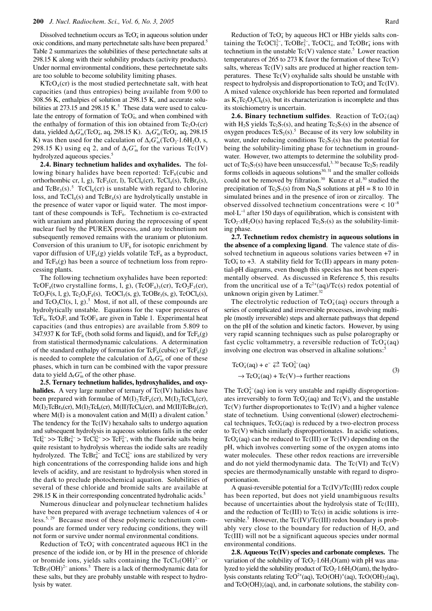Dissolved technetium occurs as  $TcO<sub>4</sub>$  in aqueous solution under oxic conditions, and many pertechnetate salts have been prepared.<sup>5</sup> Table 2 summarizes the solubilities of these pertechnetate salts at 298.15 K along with their solubility products (activity products). Under normal environmental conditions, these pertechnetate salts are too soluble to become solubility limiting phases.

 $KTcO<sub>4</sub>(cr)$  is the most studied pertechnetate salt, with heat capacities (and thus entropies) being available from 9.00 to 308.56 K, enthalpies of solution at 298.15 K, and accurate solubilities at 273.15 and 298.15 K.<sup>5</sup> These data were used to calculate the entropy of formation of  $TcO<sub>4</sub>$ , and when combined with the enthalpy of formation of this ion obtained from  $Tc_2O_7(cr)$ data, yielded  $\Delta_f G_m^{\circ}(\text{TeO}_4^{\circ}, \text{aq}, 298.15 \text{ K})$ .  $\Delta_f G_m^{\circ}(\text{TeO}_4^{\circ}, \text{aq}, 298.15 \text{ K})$ K) was then used for the calculation of  $\Delta_f G_m^{\circ}(\text{TeO}_2 \cdot 1.6H_2O, s,$ 298.15 K) using eq 2, and of  $\Delta_f G_{\text{m}}^{\circ}$  for the various Tc(IV) hydrolyzed aqueous species.<sup>5</sup>

**2.4. Binary technetium halides and oxyhalides.** The following binary halides have been reported:  $TcF<sub>6</sub>(cubic and$ orthorhombic cr, l, g),  $\text{TeF}_5(\text{cr}, l)$ ,  $\text{TeCl}_6(\text{cr})$ ,  $\text{TeCl}_4(\text{s})$ ,  $\text{TeBr}_4(\text{s})$ , and  $TcBr_3(s)$ .<sup>5</sup>  $TcCl_6(cr)$  is unstable with regard to chlorine loss, and  $TcCl<sub>4</sub>(s)$  and  $TcBr<sub>4</sub>(s)$  are hydrolytically unstable in the presence of water vapor or liquid water. The most important of these compounds is  $TcF_6$ . Technetium is co-extracted with uranium and plutonium during the reprocessing of spent nuclear fuel by the PUREX process, and any technetium not subsequently removed remains with the uranium or plutonium. Conversion of this uranium to  $UF_6$  for isotopic enrichment by vapor diffusion of  $UF_6(g)$  yields volatile TcF<sub>6</sub> as a byproduct, and  $\text{TeF}_6(g)$  has been a source of technetium loss from reprocessing plants.

The following technetium oxyhalides have been reported: TcOF<sub>4</sub>(two crystalline forms, l, g), (TcOF<sub>4</sub>)<sub>3</sub>(cr), TcO<sub>2</sub>F<sub>3</sub>(cr),  $TcO_3F(s, l, g)$ ,  $Tc_2O_5F_4(s)$ ,  $TcOCl_3(s, g)$ ,  $TcOBr_3(s, g)$ ,  $TcOCl_4(s)$ , and  $TeO_3Cl(s, l, g)$ .<sup>5</sup> Most, if not all, of these compounds are hydrolytically unstable. Equations for the vapor pressures of TcF<sub>6</sub>, TcO<sub>3</sub>F, and TcOF<sub>4</sub> are given in Table 1. Experimental heat capacities (and thus entropies) are available from 5.809 to 347.937 K for TcF<sub>6</sub> (both solid forms and liquid), and for TcF<sub>6</sub>(g) from statistical thermodynamic calculations. A determination of the standard enthalpy of formation for  $TcF_6(cubic)$  or  $TcF_6(g)$ is needed to complete the calculation of  $\Delta_f G_{\text{m}}^{\circ}$  of one of these phases, which in turn can be combined with the vapor pressure data to yield  $\Delta_f G_{\text{m}}^{\circ}$  of the other phase.

**2.5. Ternary technetium halides, hydroxyhalides, and oxy**halides. A very large number of ternary of Tc(IV) halides have been prepared with formulae of  $M(I)_2TcF_6(ct)$ ,  $M(I)_2TcCl_6(ct)$ ,  $M(I)$ <sub>2</sub>TcBr<sub>6</sub>(cr),  $M(I)$ <sub>2</sub>TcI<sub>6</sub>(cr),  $M(II)$ TcCl<sub>6</sub>(cr), and  $M(II)$ TcBr<sub>6</sub>(cr), where  $M(I)$  is a monovalent cation and  $M(II)$  a divalent cation.<sup>5</sup> i. The tendency for the Tc(IV) hexahalo salts to undergo aquation and subsequent hydrolysis in aqueous solutions falls in the order TcI<sup>2-</sup> >> TcBr<sup>2-</sup> > TcCl<sup>2-</sup> >> TcF<sup>2-</sup>, with the fluoride salts being quite resistant to hydrolysis whereas the iodide salts are readily hydrolyzed. The  $TcBr_6^{2-}$  and  $TcCl_6^{2-}$  ions are stabilized by very high concentrations of the corresponding halide ions and high levels of acidity, and are resistant to hydrolysis when stored in the dark to preclude photochemical aquation. Solubilities of several of these chloride and bromide salts are available at 298.15 K in their corresponding concentrated hydrohalic acids.<sup>5</sup>

Numerous dinuclear and polynuclear technetium halides have been prepared with average technetium valences of 4 or less.5, 29 Because most of these polymeric technetium compounds are formed under very reducing conditions, they will not form or survive under normal environmental conditions.

Reduction of  $TcO<sub>4</sub>$  with concentrated aqueous HCl in the presence of the iodide ion, or by HI in the presence of chloride or bromide ions, yields salts containing the  $TcCl<sub>5</sub>(OH)<sup>2−</sup>$  or TcBr<sub>5</sub>(OH)<sup>2−</sup> anions.<sup>5</sup> There is a lack of thermodynamic data for these salts, but they are probably unstable with respect to hydrolysis by water.

Reduction of TcO<sub>4</sub> by aqueous HCl or HBr yields salts containing the TcOCl<sup>2</sup><sup>-</sup>, TcOBr<sup>2</sup><sup>-</sup>, TcOCl<sub>4</sub>, and TcOBr<sub>4</sub> ions with technetium in the unstable  $Tc(V)$  valence state.<sup>5</sup> Lower reaction temperatures of 265 to 273 K favor the formation of these  $Tc(V)$ salts, whereas Tc(IV) salts are produced at higher reaction temperatures. These  $Tc(V)$  oxyhalide salts should be unstable with respect to hydrolysis and disproportionation to  $TeO<sub>4</sub>$  and  $Te(IV)$ . A mixed valence oxychloride has been reported and formulated as  $K_3Tc_2O_2Cl_8(s)$ , but its characterization is incomplete and thus its stoichiometry is uncertain.

**2.6. Binary technetium sulfides**. Reaction of  $TcO<sub>4</sub>(aq)$ with H<sub>2</sub>S yields Tc<sub>2</sub>S<sub>7</sub>(s), and heating Tc<sub>2</sub>S<sub>7</sub>(s) in the absence of oxygen produces  $TcS_2(s)$ .<sup>5</sup> Because of its very low solubility in water, under reducing conditions  $Tc_2S_7(s)$  has the potential for being the solubility-limiting phase for technetium in groundwater. However, two attempts to determine the solubility product of Tc<sub>2</sub>S<sub>7</sub>(s) have been unsuccessful,<sup>3, 30</sup> because Tc<sub>2</sub>S<sub>7</sub> readily forms colloids in aqueous solutions $30,31$  and the smaller colloids could not be removed by filtration.<sup>30</sup> Kunze et al.<sup>30</sup> studied the precipitation of Tc<sub>2</sub>S<sub>7</sub>(s) from Na<sub>2</sub>S solutions at pH = 8 to 10 in simulated brines and in the presence of iron or zircalloy. The observed dissolved technetium concentrations were < 10<sup>−</sup><sup>8</sup> mol·L<sup>−</sup><sup>1</sup> after 150 days of equilibration, which is consistent with TcO<sub>2</sub>·*x*H<sub>2</sub>O(s) having replaced Tc<sub>2</sub>S<sub>7</sub>(s) as the solubility-limiting phase.

**2.7. Technetium redox chemistry in aqueous solutions in the absence of a complexing ligand**. The valence state of dissolved technetium in aqueous solutions varies between +7 in TcO<sub>4</sub> to +3. A stability field for Tc(II) appears in many potential-pH diagrams, even though this species has not been experimentally observed. As discussed in Reference 5, this results from the uncritical use of a  $Tc^{2+}(aq)/Tc(s)$  redox potential of unknown origin given by Latimer. $32$ 

The electrolytic reduction of  $TcO<sub>4</sub>(aq)$  occurs through a series of complicated and irreversible processes, involving multiple (mostly irreversible) steps and alternate pathways that depend on the pH of the solution and kinetic factors. However, by using very rapid scanning techniques such as pulse polarography or fast cyclic voltammetry, a reversible reduction of  $TcO<sub>4</sub>(aq)$ involving one electron was observed in alkaline solutions:<sup>5</sup>

$$
\text{TeO}_4^-(aq) + e^- \stackrel{\rightharpoonup}{\leftarrow} \text{TeO}_4^{2-}(aq)
$$
  
\rightharpoonup 
$$
\text{TeO}_4^-(aq) + \text{Te}(V) \rightarrow \text{further reactions}
$$
\r\n(3)

The  $\text{TeO}_4^{2-}$ (aq) ion is very unstable and rapidly disproportionates irreversibly to form  $TeO_4^-(aq)$  and  $Te(V)$ , and the unstable  $Tc(V)$  further disproportionates to  $Tc(IV)$  and a higher valence state of technetium. Using conventional (slower) electrochemical techniques,  $TcO<sub>4</sub>(aq)$  is reduced by a two-electron process to Tc(V) which similarly disproportionates. In acidic solutions, TcO<sub>4</sub>(aq) can be reduced to Tc(III) or Tc(IV) depending on the pH, which involves converting some of the oxygen atoms into water molecules. These other redox reactions are irreversible and do not yield thermodynamic data. The  $Tc(VI)$  and  $Tc(V)$ species are thermodynamically unstable with regard to disproportionation.

A quasi-reversible potential for a Tc(IV)/Tc(III) redox couple has been reported, but does not yield unambiguous results because of uncertainties about the hydrolysis state of Tc(III), and the reduction of  $Tc(III)$  to  $Tc(s)$  in acidic solutions is irreversible.<sup>5</sup> However, the  $Tc(IV)/Tc(III)$  redox boundary is probably very close to the boundary for reduction of  $H_2O$ , and Tc(III) will not be a significant aqueous species under normal environmental conditions.

**2.8. Aqueous Tc(IV) species and carbonate complexes.** The variation of the solubility of  $TcO<sub>2</sub>·1.6H<sub>2</sub>O(am)$  with pH was analyzed to yield the solubility product of  $TcO<sub>2</sub>·1.6H<sub>2</sub>O(am)$ , the hydrolysis constants relating  $TcO^{2+}(aq)$ ,  $TcO(OH)^+(aq)$ ,  $TcO(OH)_2(aq)$ , and  $TeO(OH)_{3}^{-}(aq)$ , and, in carbonate solutions, the stability con-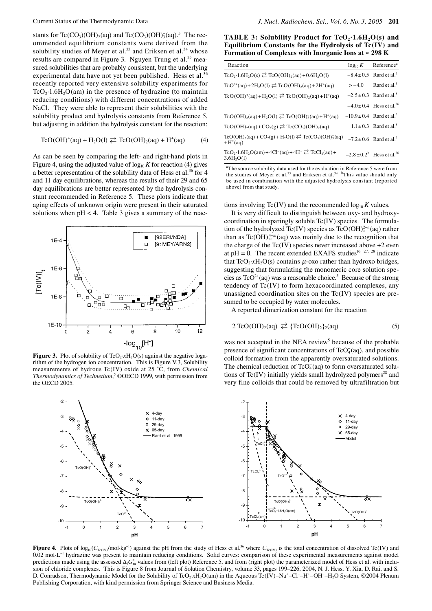stants for Tc(CO<sub>3</sub>)(OH)<sub>2</sub>(aq) and Tc(CO<sub>3</sub>)(OH)<sub>3</sub>(aq).<sup>5</sup> The recommended equilibrium constants were derived from the solubility studies of Meyer et al.<sup>33</sup> and Eriksen et al.<sup>34</sup> whose results are compared in Figure 3. Nguyen Trung et al.<sup>35</sup> measured solubilities that are probably consistent, but the underlying experimental data have not yet been published. Hess et al.<sup>36</sup> recently reported very extensive solubility experiments for  $TcO<sub>2</sub>·1.6H<sub>2</sub>O(am)$  in the presence of hydrazine (to maintain reducing conditions) with different concentrations of added NaCl. They were able to represent their solubilities with the solubility product and hydrolysis constants from Reference 5, but adjusting in addition the hydrolysis constant for the reaction:

$$
\text{TeO}(\text{OH})^+(\text{aq}) + \text{H}_2\text{O(l)} \rightleftarrows \text{TeO}(\text{OH})_2(\text{aq}) + \text{H}^+(\text{aq}) \tag{4}
$$

As can be seen by comparing the left- and right-hand plots in Figure 4, using the adjusted value of  $log_{10} K$  for reaction (4) gives a better representation of the solubility data of Hess et al.<sup>36</sup> for 4 and 11 day equilibrations, whereas the results of their 29 and 65 day equilibrations are better represented by the hydrolysis constant recommended in Reference 5. These plots indicate that aging effects of unknown origin were present in their saturated solutions when  $pH < 4$ . Table 3 gives a summary of the reac-



**Figure 3.** Plot of solubility of TcO<sub>2</sub>·*x*H<sub>2</sub>O(s) against the negative logarithm of the hydrogen ion concentration. This is Figure V.3, Solubility measurements of hydrous Tc(IV) oxide at 25 ˚C, from *Chemical*  Thermodynamics of Technetium,<sup>5</sup> ©OECD 1999, with permission from the OECD 2005.

**TABLE 3: Solubility Product for**  $TeO_2 \cdot 1.6H_2O(s)$  **and Equilibrium Constants for the Hydrolysis of Tc(IV) and Formation of Complexes with Inorganic Ions at** ≈ **298 K**

| Reaction                                                                                            | $\log_{10} K$ | Reference <sup>a</sup>                     |
|-----------------------------------------------------------------------------------------------------|---------------|--------------------------------------------|
| $TcO_2 \cdot 1.6H_2O(s) \nArr TcO(OH)_2(aq) + 0.6H_2O(1)$                                           |               | $-8.4 \pm 0.5$ Rard et al. <sup>5</sup>    |
| $\text{TeO}^{2+}(aq) + 2H_2O(l) \ncong \text{TeO}(\text{OH})_2(aq) + 2H^+(aq)$                      | $>-4.0$       | Rard et al. <sup>5</sup>                   |
| $TcO(OH)^+(aq) + H_2O(l) \ncong TcO(OH)_2(aq) + H^+(aq)$                                            |               | $-2.5 \pm 0.3$ Rard et al. <sup>5</sup>    |
|                                                                                                     |               | $-4.0 \pm 0.4$ Hess et al. <sup>36</sup>   |
| $TcO(OH)_{2}(aq) + H_{2}O(1) \ncong TcO(OH)_{3}(aq) + H^{+}(aq)$                                    |               | $-10.9 \pm 0.4$ Rard et al. <sup>5</sup>   |
| $TcO(OH)$ <sub>2</sub> (aq) + $CO2(g) \ncong Tc(CO3)(OH)$ <sub>2</sub> (aq)                         |               | $1.1 \pm 0.3$ Rard et al. <sup>5</sup>     |
| $TcO(OH)_{2}(aq) + CO_{2}(g) + H_{2}O(l) \ncong Tc(CO_{3})(OH)_{3}^{-}(aq)$<br>$+H^+(aq)$           |               | $-7.2 \pm 0.6$ Rard et al. <sup>5</sup>    |
| $TcO_2 \cdot 1.6H_2O(am) + 4Cl^-(aq) + 4H^+ \nightharpoonup TcCl_4(aq) +$<br>3.6H <sub>2</sub> O(1) |               | $-2.8 \pm 0.2^b$ Hess et al. <sup>36</sup> |

<sup>a</sup>The source solubility data used for the evaluation in Reference 5 were from the studies of Meyer et al.<sup>33</sup> and Eriksen et al.<sup>34</sup> <sup>b</sup>This value should only be used in combination with the adjusted hydrolysis constant (reported above) from that study.

tions involving  $Tc(IV)$  and the recommended  $log_{10} K$  values.

It is very difficult to distinguish between oxy- and hydroxycoordination in sparingly soluble  $Tc(IV)$  species. The formulation of the hydrolyzed Tc(IV) species as TcO(OH) $^{2-n}_{n}$ (aq) rather than as  $\text{Tr}(\text{OH})_m^{4-m}$  (aq) was mainly due to the recognition that the charge of the  $Tc$ (IV) species never increased above  $+2$  even at pH = 0. The recent extended EXAFS studies<sup>16, 27, 28</sup> indicate that  $TcO_2 \cdot xH_2O(s)$  contains  $\mu$ -oxo rather than hydroxo bridges, suggesting that formulating the monomeric core solution species as  $TcO^{2+}(aq)$  was a reasonable choice.<sup>5</sup> Because of the strong tendency of Tc(IV) to form hexacoordinated complexes, any unassigned coordination sites on the Tc(IV) species are presumed to be occupied by water molecules.

A reported dimerization constant for the reaction

$$
2 \text{ TcO(OH)}_2\text{(aq)} \rightleftarrows \{ \text{ TcO(OH)}_2 \} _2\text{(aq)} \tag{5}
$$

was not accepted in the NEA review<sup>5</sup> because of the probable presence of significant concentrations of  $TeO<sub>4</sub>(aq)$ , and possible colloid formation from the apparently oversaturated solutions. The chemical reduction of  $TcO<sub>4</sub>(aq)$  to form oversaturated solutions of  $Tc(IV)$  initially yields small hydrolyzed polymers<sup>28</sup> and very fine colloids that could be removed by ultrafiltration but



**Figure 4.** Plots of  $log_{10}(C_{\text{Te(IV)}}/mol \cdot \text{kg}^{-1})$  against the pH from the study of Hess et al.<sup>36</sup> where  $C_{\text{Te(IV)}}$  is the total concentration of dissolved Tc(IV) and 0.02 mol·L<sup>−</sup><sup>1</sup> hydrazine was present to maintain reducing conditions. Solid curves: comparison of these experimental measurements against model predictions made using the assessed ∆<sub>f</sub>G<sup>°</sup> values from (left plot) Reference 5, and from (right plot) the parameterized model of Hess et al. with inclusion of chloride complexes. This is Figure 8 from Journal of Solution Chemistry, volume 33, pages 199–226, 2004, N. J. Hess, Y. Xia, D. Rai, and S. D. Conradson, Thermodynamic Model for the Solubility of TcO<sub>2</sub>·xH<sub>2</sub>O(am) in the Aqueous Tc(IV)–Na<sup>+</sup>–Cl<sup>−</sup>–H<sup>+</sup>–OH<sup>−</sup>–H<sub>2</sub>O System, ©2004 Plenum Publishing Corporation, with kind permission from Springer Science and Business Media.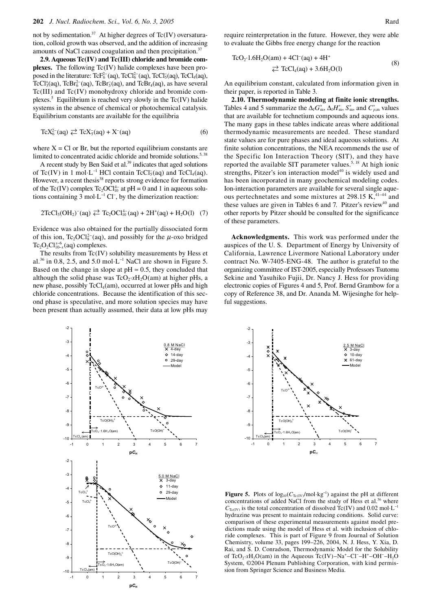not by sedimentation.<sup>37</sup> At higher degrees of Tc(IV) oversaturation, colloid growth was observed, and the addition of increasing amounts of NaCl caused coagulation and then precipitation.37

**2.9. Aqueous Tc(IV) and Tc(III) chloride and bromide complexes.** The following Tc(IV) halide complexes have been proposed in the literature:  $\text{TeF}^{2-}_{6}$  (aq),  $\text{TeCl}^{2-}_{6}$  (aq),  $\text{TeCl}^{2}_{5}$  (aq),  $\text{TeCl}_{4}$  (aq), TcCl<sup>+</sup><sub>3</sub>(aq), TcBr<sup>2-</sup>(aq), TcBr<sub>5</sub>(aq), and TcBr<sub>4</sub>(aq), as have several Tc(III) and Tc(IV) monohydroxy chloride and bromide complexes.<sup>5</sup> Equilibrium is reached very slowly in the  $Tc(IV)$  halide systems in the absence of chemical or photochemical catalysis. Equilibrium constants are available for the equilibria

$$
\text{TCX}_6^{2-}(\text{aq}) \rightleftarrows \text{TCX}_5^-(\text{aq}) + X^-(\text{aq}) \tag{6}
$$

where  $X = Cl$  or Br, but the reported equilibrium constants are limited to concentrated acidic chloride and bromide solutions.<sup>5, 38</sup>

A recent study by Ben Said et al.<sup>39</sup> indicates that aged solutions of Tc(IV) in 1 mol⋅L<sup>-1</sup> HCl contain TcCl<sub>5</sub>(aq) and TcCl<sub>4</sub>(aq). However, a recent thesis<sup>38</sup> reports strong evidence for formation of the Tc(IV) complex Tc<sub>2</sub>OCl<sup>1-1</sup><sup>-1</sup> at pH = 0 and 1 in aqueous solutions containing 3 mol⋅L<sup>-1</sup> Cl<sup>−</sup>, by the dimerization reaction:

$$
2TcCl5(OH2)-(aq) \stackrel{\rightarrow}{\leftarrow} Tc2OC1104-(aq) + 2H+(aq) + H2O(l) (7)
$$

Evidence was also obtained for the partially dissociated form of this ion,  $Tc_2OCl_8^{2-}$  (aq), and possibly for the  $\mu$ -oxo bridged  $Tc_2O_2Cl_{10-x}^{x-6}$  (aq) complexes.

The results from Tc(IV) solubility measurements by Hess et al.<sup>36</sup> in 0.8, 2.5, and 5.0 mol⋅L<sup>-1</sup> NaCl are shown in Figure 5. Based on the change in slope at  $pH \approx 0.5$ , they concluded that although the solid phase was  $TcO_2 \cdot xH_2O(am)$  at higher pHs, a new phase, possibly  $TcCl<sub>4</sub>(am)$ , occurred at lower pHs and high chloride concentrations. Because the identification of this second phase is speculative, and more solution species may have been present than actually assumed, their data at low pHs may



require reinterpretation in the future. However, they were able to evaluate the Gibbs free energy change for the reaction

$$
TcO2·1.6H2O(am) + 4Cl-(aq) + 4H+
$$
  
\n
$$
⇒ TcCl4(aq) + 3.6H2O(l)
$$
 (8)

An equilibrium constant, calculated from information given in their paper, is reported in Table 3.

**2.10. Thermodynamic modeling at finite ionic strengths.**  Tables 4 and 5 summarize the  $\Delta_f G_m^{\circ}$ ,  $\Delta_f H_m^{\circ}$ ,  $S_m^{\circ}$ , and  $C_{p,m}^{\circ}$  values that are available for technetium compounds and aqueous ions. The many gaps in these tables indicate areas where additional thermodynamic measurements are needed. These standard state values are for pure phases and ideal aqueous solutions. At finite solution concentrations, the NEA recommends the use of the Specific Ion Interaction Theory (SIT), and they have reported the available SIT parameter values.<sup>5, 18</sup> At high ionic strengths, Pitzer's ion interaction model $40$  is widely used and has been incorporated in many geochemical modeling codes. Ion-interaction parameters are available for several single aqueous pertechnetates and some mixtures at 298.15 K,<sup>41–44</sup> and these values are given in Tables  $6$  and  $7$ . Pitzer's review<sup>40</sup> and other reports by Pitzer should be consulted for the significance of these parameters.

**Acknowledgments.** This work was performed under the auspices of the U. S. Department of Energy by University of California, Lawrence Livermore National Laboratory under contract No. W-7405-ENG-48. The author is grateful to the organizing committee of IST-2005, especially Professors Tsutomu Sekine and Yasuhiko Fujii, Dr. Nancy J. Hess for providing electronic copies of Figures 4 and 5, Prof. Bernd Grambow for a copy of Reference 38, and Dr. Ananda M. Wijesinghe for helpful suggestions.





**Figure 5.** Plots of  $log_{10}(C_{Tc(IV)}/mol \cdot kg^{-1})$  against the pH at different concentrations of added NaCl from the study of Hess et al.<sup>36</sup> where  $C_{Tc(IV)}$  is the total concentration of dissolved Tc(IV) and 0.02 mol·L<sup>-1</sup> hydrazine was present to maintain reducing conditions. Solid curve: comparison of these experimental measurements against model predictions made using the model of Hess et al. with inclusion of chloride complexes. This is part of Figure 9 from Journal of Solution Chemistry, volume 33, pages 199–226, 2004, N. J. Hess, Y. Xia, D. Rai, and S. D. Conradson, Thermodynamic Model for the Solubility of TcO<sub>2</sub>·xH<sub>2</sub>O(am) in the Aqueous Tc(IV)–Na<sup>+</sup>–Cl<sup>−</sup>–H<sup>+</sup>–OH<sup>-</sup>–H<sub>2</sub>O System, ©2004 Plenum Publishing Corporation, with kind permis-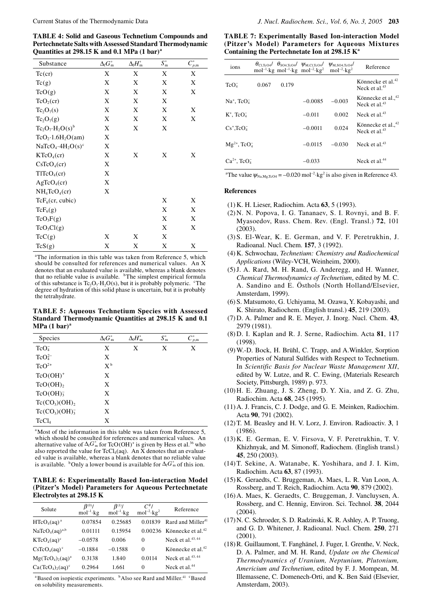**TABLE 4: Solid and Gaseous Technetium Compounds and Pertechnetate Salts with Assessed Standard Thermodynamic Quantities at 298.15 K and 0.1 MPa (1 bar)a**

| Substance                             | $\Delta_{\rm f}G_{\rm m}^{\circ}$ | $\Delta_{\rm f} H^{\circ}_{\rm m}$ | $S_{\rm m}^{\circ}$ | $C_{p,m}^{\circ}$ |
|---------------------------------------|-----------------------------------|------------------------------------|---------------------|-------------------|
| $Tc$ (cr)                             | X                                 | X                                  | X                   | Χ                 |
| Tc(g)                                 | X                                 | X                                  | X                   | X                 |
| TcO(g)                                | X                                 | X                                  | X                   | X                 |
| TcO <sub>2</sub> (cr)                 | X                                 | X                                  | X                   |                   |
| $Tc_2O_7(s)$                          | X                                 | X                                  | X                   | X                 |
| $Tc_2O_7(g)$                          | X                                 | X                                  | X                   | X                 |
| $Tc_2O_7 \cdot H_2O(s)^b$             | X                                 | X                                  | X                   |                   |
| $TcO_2 \cdot 1.6H_2O(am)$             | X                                 |                                    |                     |                   |
| $NaTeO4·4H2O(s)c$                     | X                                 |                                    |                     |                   |
| KTeO <sub>4</sub> (cr)                | X                                 | X                                  | X                   | X                 |
| CsTcO <sub>4</sub> (cr)               | X                                 |                                    |                     |                   |
| T1TcO <sub>4</sub> (cr)               | X                                 |                                    |                     |                   |
| AgTeO <sub>4</sub> (cr)               | X                                 |                                    |                     |                   |
| NH <sub>4</sub> TeO <sub>4</sub> (cr) | X                                 |                                    |                     |                   |
| $\text{TeF}_6$ (cr, cubic)            |                                   |                                    | X                   | X                 |
| $TcF_6(g)$                            |                                   |                                    | X                   | X                 |
| $TcO_3F(g)$                           |                                   |                                    | X                   | X                 |
| $TcO_3Cl(g)$                          |                                   |                                    | X                   | X                 |
| TcC(g)                                | X                                 | X                                  | X                   |                   |
| TcS(g)                                | X                                 | X                                  | X                   | X                 |

<sup>a</sup>The information in this table was taken from Reference 5, which should be consulted for references and numerical values. An X denotes that an evaluated value is available, whereas a blank denotes that no reliable value is available. <sup>b</sup>The simplest empirical formula of this substance is  $Tc_2O_7·H_2O(s)$ , but it is probably polymeric.  $\mathrm{^{c} The}$ degree of hydration of this solid phase is uncertain, but it is probably the tetrahydrate.

**TABLE 5: Aqueous Technetium Species with Assessed Standard Thermodynamic Quantities at 298.15 K and 0.1**   $MPa (1 bar)<sup>a</sup>$ 

| Species                | $\Delta_{\rm f} G_{\rm m}^{\circ}$ | $\Delta_{\rm f} H^{\circ}_{\rm m}$ | $S_{\rm m}^{\circ}$ | ${{C}^{\circ}_{p,\text{m}}}$ |
|------------------------|------------------------------------|------------------------------------|---------------------|------------------------------|
| TcO <sub>4</sub>       | X                                  | X                                  | X                   | X                            |
| $\text{TeO}_4^{2-}$    | X                                  |                                    |                     |                              |
| $TcO^{2+}$             | $X^{\mathfrak{b}}$                 |                                    |                     |                              |
| $TcO(OH)^+$            | X                                  |                                    |                     |                              |
| $TcO(OH)_{2}$          | X                                  |                                    |                     |                              |
| TcO(OH) <sub>3</sub>   | X                                  |                                    |                     |                              |
| $Tc(CO_3)(OH)_2$       | X                                  |                                    |                     |                              |
| $Tc(CO_3)(OH)_{3}^{-}$ | X                                  |                                    |                     |                              |
| TcCl <sub>4</sub>      | X                                  |                                    |                     |                              |

<sup>a</sup>Most of the information in this table was taken from Reference 5, which should be consulted for references and numerical values. An alternative value of  $\Delta_f G_{\text{m}}^{\circ}$  for TcO(OH)<sup>+</sup> is given by Hess et al.<sup>36</sup> who also reported the value for  $TcCl<sub>4</sub>(aq)$ . An X denotes that an evaluated value is available, whereas a blank denotes that no reliable value is available. <sup>b</sup>Only a lower bound is available for  $\Delta_f G_m$  of this ion.

**TABLE 6: Experimentally Based Ion-interaction Model (Pitzer's Model) Parameters for Aqueous Pertechnetate Electrolytes at 298.15 K**

| Solute                                 | $\beta^{(0)}$ /<br>$mol^{-1}$ · $kg$ | $\beta^{(1)}$ /<br>$mol^{-1}$ · $kg$ | $C^{\phi}$ l<br>$mol^{-2}$ · $kg^2$ | Reference                               |
|----------------------------------------|--------------------------------------|--------------------------------------|-------------------------------------|-----------------------------------------|
| HTcO <sub>4</sub> (aq) <sup>a</sup>    | 0.07854                              | 0.25685                              | 0.01839                             | Rard and Miller <sup>41</sup>           |
| NaTeO <sub>4</sub> (aq) <sup>a,b</sup> | 0.01111                              | 0.15954                              |                                     | $0.00236$ Könnecke et al. <sup>42</sup> |
| $KTCO_4(aq)^c$                         | $-0.0578$                            | 0.006                                | $\Omega$                            | Neck et al. $43, 44$                    |
| $CsTcO_4(aq)^c$                        | $-0.1884$                            | $-0.1588$                            | $\Omega$                            | Könnecke et al. $42$                    |
| $Mg(TcO4)2(aq)a$                       | 0.3138                               | 1.840                                | 0.0114                              | Neck et al. $43, 44$                    |
| $Ca(TcO4)2(aq)c$                       | 0.2964                               | 1.661                                | $\Omega$                            | Neck et al. $44$                        |

<sup>a</sup> Based on isopiestic experiments. <sup>b</sup>Also see Rard and Miller.<sup>41</sup> <sup>c</sup>Based on solubility measurements.

**TABLE 7: Experimentally Based Ion-interaction Model (Pitzer's Model) Parameters for Aqueous Mixtures Containing the Pertechnetate Ion at 298.15 Ka**

| ions                         |       |       |           | $\theta_{\text{Cl.TcO4}}/\theta_{\text{SO4,TcO4}}/\psi_{\text{M,Cl.TcO4}}/\psi_{\text{M,SO4,TcO4}}$<br>mol <sup>-1</sup> ·kg mol <sup>-1</sup> ·kg mol <sup>-2</sup> ·kg <sup>2</sup> mol <sup>-2</sup> ·kg <sup>2</sup> | Reference                                          |
|------------------------------|-------|-------|-----------|--------------------------------------------------------------------------------------------------------------------------------------------------------------------------------------------------------------------------|----------------------------------------------------|
| TcO <sub>4</sub>             | 0.067 | 0.179 |           |                                                                                                                                                                                                                          | Könnecke et al. <sup>42</sup><br>Neck et al. $43$  |
| $Na^+$ , $TcO4$              |       |       | $-0.0085$ | $-0.003$                                                                                                                                                                                                                 | Könnecke et al., <sup>42</sup><br>Neck et al. $43$ |
| $K^+$ , $TcO4$               |       |       | $-0.011$  | 0.002                                                                                                                                                                                                                    | Neck et al. $43$                                   |
| $Cs^+$ , $TcO4$              |       |       | $-0.0011$ | 0.024                                                                                                                                                                                                                    | Könnecke et al., <sup>42</sup><br>Neck et al. $43$ |
| $Mg^{2+}$ , TcO <sub>4</sub> |       |       | $-0.0115$ | $-0.030$                                                                                                                                                                                                                 | Neck et al. $43$                                   |
| $Ca^{2+}$ , $TeO4$           |       |       | $-0.033$  |                                                                                                                                                                                                                          | Neck et al. $44$                                   |

<sup>a</sup>The value  $\psi_{\text{Na,Mg,TeO4}} = -0.020 \text{ mol}^{-2} \cdot \text{kg}^2$  is also given in Reference 43.

### **References**

- (1) K. H. Lieser, Radiochim. Acta **63**, 5 (1993).
- (2) N. N. Popova, I. G. Tananaev, S. I. Rovnyi, and B. F. Myasoedov, Russ. Chem. Rev. (Engl. Transl.) **72**, 101 (2003).
- (3) S. El-Wear, K. E. German, and V. F. Peretrukhin, J. Radioanal. Nucl. Chem. **157**, 3 (1992).
- (4) K. Schwochau, *Technetium: Chemistry and Radiochemical Applications* (Wiley-VCH, Weinheim, 2000).
- (5) J. A. Rard, M. H. Rand, G. Anderegg, and H. Wanner, *Chemical Thermodynamics of Technetium*, edited by M. C. A. Sandino and E. Östhols (North Holland/Elsevier, Amsterdam, 1999).
- (6) S. Matsumoto, G. Uchiyama, M. Ozawa, Y. Kobayashi, and K. Shirato, Radiochem. (English transl.) **45**, 219 (2003).
- (7) D. A. Palmer and R. E. Meyer, J. Inorg. Nucl. Chem. **43**, 2979 (1981).
- (8) D. I. Kaplan and R. J. Serne, Radiochim. Acta **81**, 117 (1998).
- (9) W.-D. Bock, H. Brühl, C. Trapp, and A.Winkler, Sorption Properties of Natural Sulfides with Respect to Technetium. In *Scientific Basis for Nuclear Waste Management XII*, edited by W. Lutze, and R. C. Ewing, (Materials Research Society, Pittsburgh, 1989) p. 973.
- (10) H. E. Zhuang, J. S. Zheng, D. Y. Xia, and Z. G. Zhu, Radiochim. Acta **68**, 245 (1995).
- (11) A. J. Francis, C. J. Dodge, and G. E. Meinken, Radiochim. Acta **90**, 791 (2002).
- (12) T. M. Beasley and H. V. Lorz, J. Environ. Radioactiv. **3**, 1 (1986).
- (13) K. E. German, E. V. Firsova, V. F. Peretrukhin, T. V. Khizhnyak, and M. Simonoff, Radiochem. (English transl.) **45**, 250 (2003).
- (14) T. Sekine, A. Watanabe, K. Yoshihara, and J. I. Kim, Radiochim. Acta **63**, 87 (1993).
- (15) K. Geraedts, C. Bruggeman, A. Maes, L. R. Van Loon, A. Rossberg, and T. Reich, Radiochim. Acta **90**, 879 (2002).
- (16) A. Maes, K. Geraedts, C. Bruggeman, J. Vancluysen, A. Rossberg, and C. Hennig, Environ. Sci. Technol. **38**, 2044 (2004).
- (17) N. C. Schroeder, S. D. Radzinski, K. R. Ashley, A. P. Truong, and G. D. Whitener, J. Radioanal. Nucl. Chem. **250**, 271 (2001).
- (18) R. Guillaumont, T. Fanghänel, J. Fuger, I. Grenthe, V. Neck, D. A. Palmer, and M. H. Rand, *Update on the Chemical Thermodynamics of Uranium, Neptunium, Plutonium, Americium and Technetium*, edited by F. J. Mompean, M. Illemassene, C. Domenech-Orti, and K. Ben Said (Elsevier, Amsterdam, 2003).